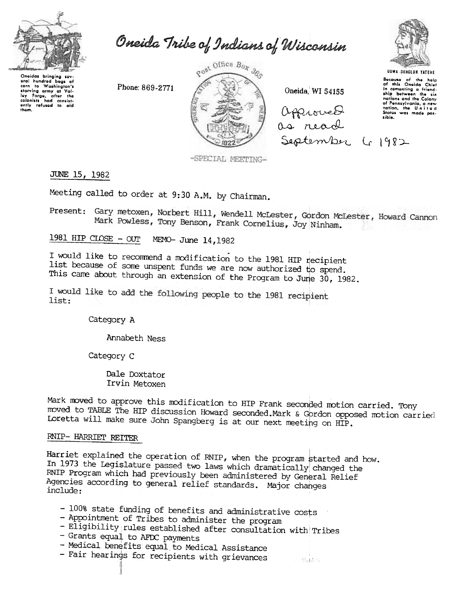

Oneida Tribe of Indians of Wisconsin

Oneidas bringing sev<br>eral hundred bags a baas al corn to Washington's corn to Washington's<br>starving army at Valley Forge, after the<br>colonists had consistently refused to aid<br>whtem them.

Phone: 869-2771



Oneida, WI 54155

approved September 41982



Because of the help<br>of this Oneida Chief<br>in comenting a friend-<br>ship between the six ship between the six<br>nations and the Colony<br>of Pennsylvania, a new<br>nation, the United<br>States was made pos-<br>sible.

-SPECIAL MEETING-

JUNE 15, 1982

Meeting called to order at 9:30 A.M. by Chairman.

Present: Gary metoxen, Norbert Hill, Wendell McLester, Gordon McLester, Howard Cannon Mark Powless, Tony Benson, Frank Cornelius, Joy Ninham.

1981 HIP CLOSE  $-$  OUT MEMO- June 14, 1982

I would like to recommend a modification to the 1981 HIP recipient list because of some unspent funds we are now authorized to spend. This came about through an extension of the Program to June 30, 1982.

I would like to add the following people to the 1981 recipient list:

Category A

Annabeth Ness

Category C

Dale Doxtator Irvin Metoxen

Mark moved to approve this modification to HIP Frank seconded motion carried. Tony moved to TABLE The HIP discussion Howard seconded. Mark & Gordon opposed motion carried Loretta will make sure John Spangberg is at our next meeting on HIP.

 $\sim 55$  decays  $\sim$ 

## RNIP- HARRIET REITER

Harriet explained the operation of RNIP, when the program started and how. In 1973 the Legislature passed two laws which dramatically changed the RNIP Program which had previously been administered by General Relief Agencies according to general relief standards. Major changes include:

- 100% state funding of benefits and administrative costs
- Appointment of Tribes to administer the program
- Eligibility rules established after consultation with Tribes
- Grants equal to AFDC payments
- Medical benefits equal to Medical Assistance
- Fair hearings for recipients with grievances